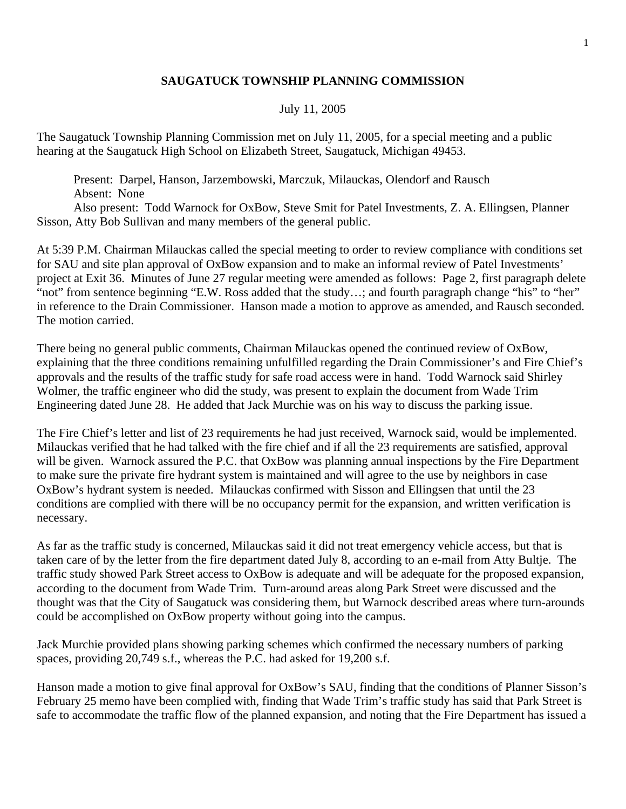## **SAUGATUCK TOWNSHIP PLANNING COMMISSION**

## July 11, 2005

The Saugatuck Township Planning Commission met on July 11, 2005, for a special meeting and a public hearing at the Saugatuck High School on Elizabeth Street, Saugatuck, Michigan 49453.

 Present: Darpel, Hanson, Jarzembowski, Marczuk, Milauckas, Olendorf and Rausch Absent: None

 Also present: Todd Warnock for OxBow, Steve Smit for Patel Investments, Z. A. Ellingsen, Planner Sisson, Atty Bob Sullivan and many members of the general public.

At 5:39 P.M. Chairman Milauckas called the special meeting to order to review compliance with conditions set for SAU and site plan approval of OxBow expansion and to make an informal review of Patel Investments' project at Exit 36. Minutes of June 27 regular meeting were amended as follows: Page 2, first paragraph delete "not" from sentence beginning "E.W. Ross added that the study...; and fourth paragraph change "his" to "her" in reference to the Drain Commissioner. Hanson made a motion to approve as amended, and Rausch seconded. The motion carried.

There being no general public comments, Chairman Milauckas opened the continued review of OxBow, explaining that the three conditions remaining unfulfilled regarding the Drain Commissioner's and Fire Chief's approvals and the results of the traffic study for safe road access were in hand. Todd Warnock said Shirley Wolmer, the traffic engineer who did the study, was present to explain the document from Wade Trim Engineering dated June 28. He added that Jack Murchie was on his way to discuss the parking issue.

The Fire Chief's letter and list of 23 requirements he had just received, Warnock said, would be implemented. Milauckas verified that he had talked with the fire chief and if all the 23 requirements are satisfied, approval will be given. Warnock assured the P.C. that OxBow was planning annual inspections by the Fire Department to make sure the private fire hydrant system is maintained and will agree to the use by neighbors in case OxBow's hydrant system is needed. Milauckas confirmed with Sisson and Ellingsen that until the 23 conditions are complied with there will be no occupancy permit for the expansion, and written verification is necessary.

As far as the traffic study is concerned, Milauckas said it did not treat emergency vehicle access, but that is taken care of by the letter from the fire department dated July 8, according to an e-mail from Atty Bultje. The traffic study showed Park Street access to OxBow is adequate and will be adequate for the proposed expansion, according to the document from Wade Trim. Turn-around areas along Park Street were discussed and the thought was that the City of Saugatuck was considering them, but Warnock described areas where turn-arounds could be accomplished on OxBow property without going into the campus.

Jack Murchie provided plans showing parking schemes which confirmed the necessary numbers of parking spaces, providing 20,749 s.f., whereas the P.C. had asked for 19,200 s.f.

Hanson made a motion to give final approval for OxBow's SAU, finding that the conditions of Planner Sisson's February 25 memo have been complied with, finding that Wade Trim's traffic study has said that Park Street is safe to accommodate the traffic flow of the planned expansion, and noting that the Fire Department has issued a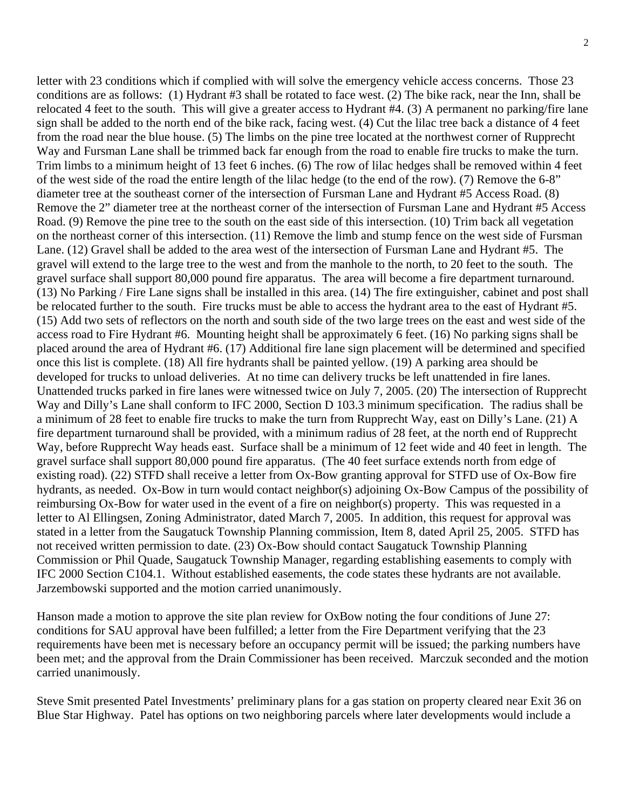letter with 23 conditions which if complied with will solve the emergency vehicle access concerns. Those 23 conditions are as follows: (1) Hydrant #3 shall be rotated to face west. (2) The bike rack, near the Inn, shall be relocated 4 feet to the south. This will give a greater access to Hydrant #4. (3) A permanent no parking/fire lane sign shall be added to the north end of the bike rack, facing west. (4) Cut the lilac tree back a distance of 4 feet from the road near the blue house. (5) The limbs on the pine tree located at the northwest corner of Rupprecht Way and Fursman Lane shall be trimmed back far enough from the road to enable fire trucks to make the turn. Trim limbs to a minimum height of 13 feet 6 inches. (6) The row of lilac hedges shall be removed within 4 feet of the west side of the road the entire length of the lilac hedge (to the end of the row). (7) Remove the 6-8" diameter tree at the southeast corner of the intersection of Fursman Lane and Hydrant #5 Access Road. (8)

Remove the 2" diameter tree at the northeast corner of the intersection of Fursman Lane and Hydrant #5 Access Road. (9) Remove the pine tree to the south on the east side of this intersection. (10) Trim back all vegetation on the northeast corner of this intersection. (11) Remove the limb and stump fence on the west side of Fursman Lane. (12) Gravel shall be added to the area west of the intersection of Fursman Lane and Hydrant #5. The gravel will extend to the large tree to the west and from the manhole to the north, to 20 feet to the south. The gravel surface shall support 80,000 pound fire apparatus. The area will become a fire department turnaround. (13) No Parking / Fire Lane signs shall be installed in this area. (14) The fire extinguisher, cabinet and post shall be relocated further to the south. Fire trucks must be able to access the hydrant area to the east of Hydrant #5. (15) Add two sets of reflectors on the north and south side of the two large trees on the east and west side of the access road to Fire Hydrant #6. Mounting height shall be approximately 6 feet. (16) No parking signs shall be placed around the area of Hydrant #6. (17) Additional fire lane sign placement will be determined and specified once this list is complete. (18) All fire hydrants shall be painted yellow. (19) A parking area should be developed for trucks to unload deliveries. At no time can delivery trucks be left unattended in fire lanes. Unattended trucks parked in fire lanes were witnessed twice on July 7, 2005. (20) The intersection of Rupprecht Way and Dilly's Lane shall conform to IFC 2000, Section D 103.3 minimum specification. The radius shall be a minimum of 28 feet to enable fire trucks to make the turn from Rupprecht Way, east on Dilly's Lane. (21) A fire department turnaround shall be provided, with a minimum radius of 28 feet, at the north end of Rupprecht Way, before Rupprecht Way heads east. Surface shall be a minimum of 12 feet wide and 40 feet in length. The gravel surface shall support 80,000 pound fire apparatus. (The 40 feet surface extends north from edge of existing road). (22) STFD shall receive a letter from Ox-Bow granting approval for STFD use of Ox-Bow fire hydrants, as needed. Ox-Bow in turn would contact neighbor(s) adjoining Ox-Bow Campus of the possibility of reimbursing Ox-Bow for water used in the event of a fire on neighbor(s) property. This was requested in a letter to Al Ellingsen, Zoning Administrator, dated March 7, 2005. In addition, this request for approval was stated in a letter from the Saugatuck Township Planning commission, Item 8, dated April 25, 2005. STFD has not received written permission to date. (23) Ox-Bow should contact Saugatuck Township Planning Commission or Phil Quade, Saugatuck Township Manager, regarding establishing easements to comply with IFC 2000 Section C104.1. Without established easements, the code states these hydrants are not available. Jarzembowski supported and the motion carried unanimously.

Hanson made a motion to approve the site plan review for OxBow noting the four conditions of June 27: conditions for SAU approval have been fulfilled; a letter from the Fire Department verifying that the 23 requirements have been met is necessary before an occupancy permit will be issued; the parking numbers have been met; and the approval from the Drain Commissioner has been received. Marczuk seconded and the motion carried unanimously.

Steve Smit presented Patel Investments' preliminary plans for a gas station on property cleared near Exit 36 on Blue Star Highway. Patel has options on two neighboring parcels where later developments would include a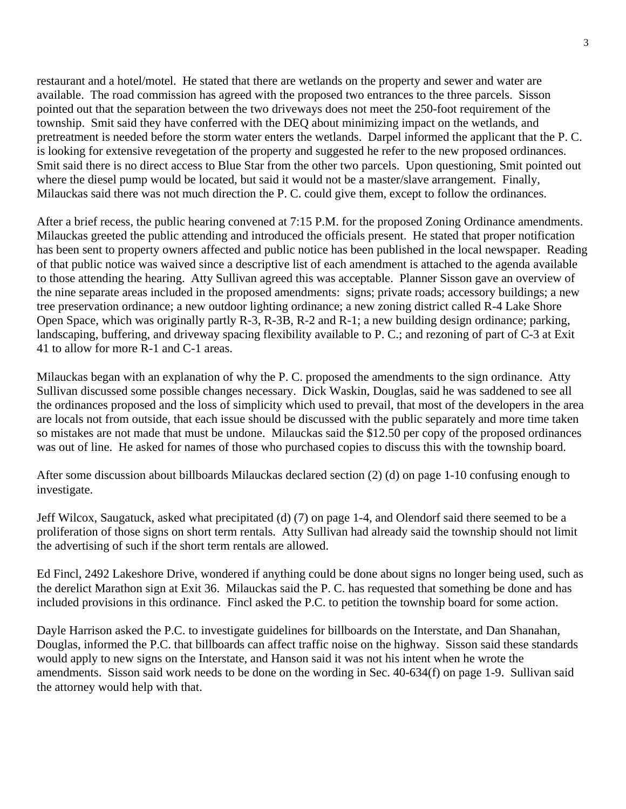restaurant and a hotel/motel. He stated that there are wetlands on the property and sewer and water are available. The road commission has agreed with the proposed two entrances to the three parcels. Sisson pointed out that the separation between the two driveways does not meet the 250-foot requirement of the township. Smit said they have conferred with the DEQ about minimizing impact on the wetlands, and pretreatment is needed before the storm water enters the wetlands. Darpel informed the applicant that the P. C. is looking for extensive revegetation of the property and suggested he refer to the new proposed ordinances. Smit said there is no direct access to Blue Star from the other two parcels. Upon questioning, Smit pointed out where the diesel pump would be located, but said it would not be a master/slave arrangement. Finally, Milauckas said there was not much direction the P. C. could give them, except to follow the ordinances.

After a brief recess, the public hearing convened at 7:15 P.M. for the proposed Zoning Ordinance amendments. Milauckas greeted the public attending and introduced the officials present. He stated that proper notification has been sent to property owners affected and public notice has been published in the local newspaper. Reading of that public notice was waived since a descriptive list of each amendment is attached to the agenda available to those attending the hearing. Atty Sullivan agreed this was acceptable. Planner Sisson gave an overview of the nine separate areas included in the proposed amendments: signs; private roads; accessory buildings; a new tree preservation ordinance; a new outdoor lighting ordinance; a new zoning district called R-4 Lake Shore Open Space, which was originally partly R-3, R-3B, R-2 and R-1; a new building design ordinance; parking, landscaping, buffering, and driveway spacing flexibility available to P. C.; and rezoning of part of C-3 at Exit 41 to allow for more R-1 and C-1 areas.

Milauckas began with an explanation of why the P. C. proposed the amendments to the sign ordinance. Atty Sullivan discussed some possible changes necessary. Dick Waskin, Douglas, said he was saddened to see all the ordinances proposed and the loss of simplicity which used to prevail, that most of the developers in the area are locals not from outside, that each issue should be discussed with the public separately and more time taken so mistakes are not made that must be undone. Milauckas said the \$12.50 per copy of the proposed ordinances was out of line. He asked for names of those who purchased copies to discuss this with the township board.

After some discussion about billboards Milauckas declared section (2) (d) on page 1-10 confusing enough to investigate.

Jeff Wilcox, Saugatuck, asked what precipitated (d) (7) on page 1-4, and Olendorf said there seemed to be a proliferation of those signs on short term rentals. Atty Sullivan had already said the township should not limit the advertising of such if the short term rentals are allowed.

Ed Fincl, 2492 Lakeshore Drive, wondered if anything could be done about signs no longer being used, such as the derelict Marathon sign at Exit 36. Milauckas said the P. C. has requested that something be done and has included provisions in this ordinance. Fincl asked the P.C. to petition the township board for some action.

Dayle Harrison asked the P.C. to investigate guidelines for billboards on the Interstate, and Dan Shanahan, Douglas, informed the P.C. that billboards can affect traffic noise on the highway. Sisson said these standards would apply to new signs on the Interstate, and Hanson said it was not his intent when he wrote the amendments. Sisson said work needs to be done on the wording in Sec. 40-634(f) on page 1-9. Sullivan said the attorney would help with that.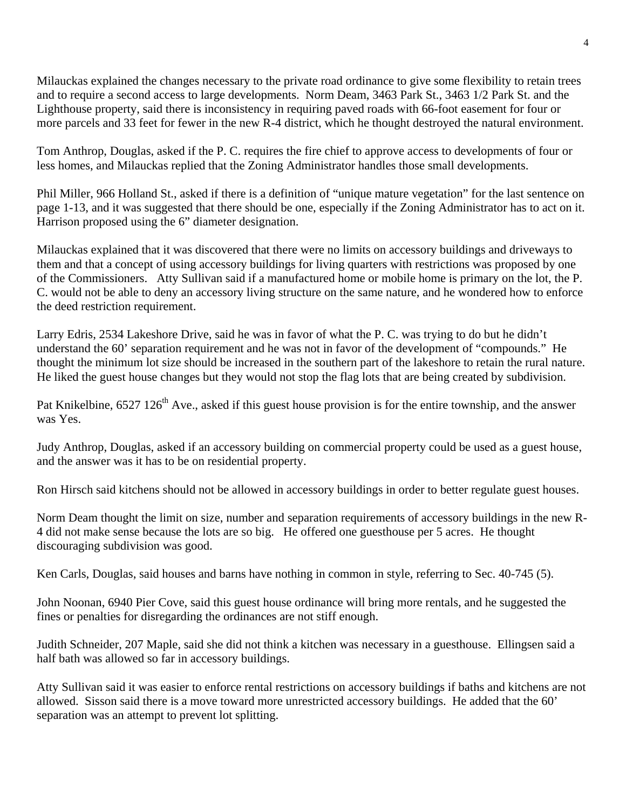Milauckas explained the changes necessary to the private road ordinance to give some flexibility to retain trees and to require a second access to large developments. Norm Deam, 3463 Park St., 3463 1/2 Park St. and the Lighthouse property, said there is inconsistency in requiring paved roads with 66-foot easement for four or more parcels and 33 feet for fewer in the new R-4 district, which he thought destroyed the natural environment.

Tom Anthrop, Douglas, asked if the P. C. requires the fire chief to approve access to developments of four or less homes, and Milauckas replied that the Zoning Administrator handles those small developments.

Phil Miller, 966 Holland St., asked if there is a definition of "unique mature vegetation" for the last sentence on page 1-13, and it was suggested that there should be one, especially if the Zoning Administrator has to act on it. Harrison proposed using the 6" diameter designation.

Milauckas explained that it was discovered that there were no limits on accessory buildings and driveways to them and that a concept of using accessory buildings for living quarters with restrictions was proposed by one of the Commissioners. Atty Sullivan said if a manufactured home or mobile home is primary on the lot, the P. C. would not be able to deny an accessory living structure on the same nature, and he wondered how to enforce the deed restriction requirement.

Larry Edris, 2534 Lakeshore Drive, said he was in favor of what the P. C. was trying to do but he didn't understand the 60' separation requirement and he was not in favor of the development of "compounds." He thought the minimum lot size should be increased in the southern part of the lakeshore to retain the rural nature. He liked the guest house changes but they would not stop the flag lots that are being created by subdivision.

Pat Knikelbine, 6527 126<sup>th</sup> Ave., asked if this guest house provision is for the entire township, and the answer was Yes.

Judy Anthrop, Douglas, asked if an accessory building on commercial property could be used as a guest house, and the answer was it has to be on residential property.

Ron Hirsch said kitchens should not be allowed in accessory buildings in order to better regulate guest houses.

Norm Deam thought the limit on size, number and separation requirements of accessory buildings in the new R-4 did not make sense because the lots are so big. He offered one guesthouse per 5 acres. He thought discouraging subdivision was good.

Ken Carls, Douglas, said houses and barns have nothing in common in style, referring to Sec. 40-745 (5).

John Noonan, 6940 Pier Cove, said this guest house ordinance will bring more rentals, and he suggested the fines or penalties for disregarding the ordinances are not stiff enough.

Judith Schneider, 207 Maple, said she did not think a kitchen was necessary in a guesthouse. Ellingsen said a half bath was allowed so far in accessory buildings.

Atty Sullivan said it was easier to enforce rental restrictions on accessory buildings if baths and kitchens are not allowed. Sisson said there is a move toward more unrestricted accessory buildings. He added that the 60' separation was an attempt to prevent lot splitting.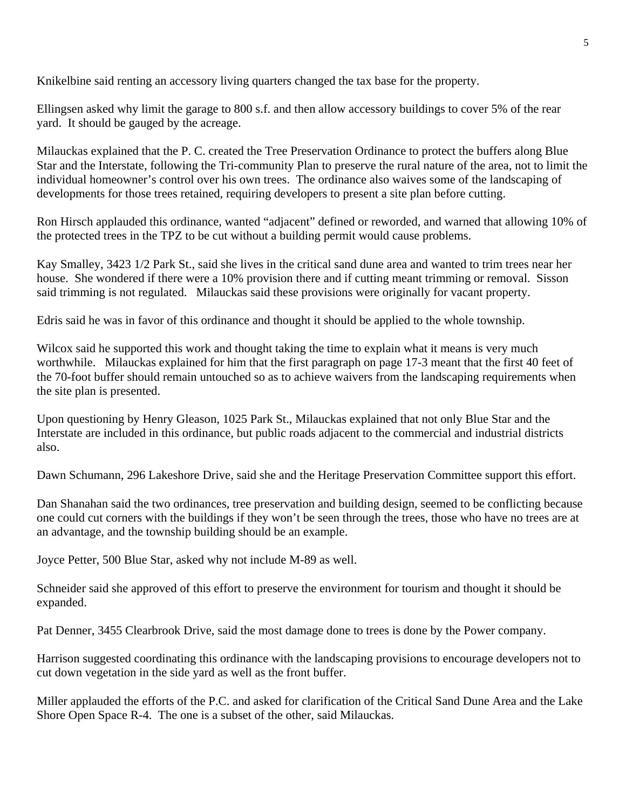Knikelbine said renting an accessory living quarters changed the tax base for the property.

Ellingsen asked why limit the garage to 800 s.f. and then allow accessory buildings to cover 5% of the rear yard. It should be gauged by the acreage.

Milauckas explained that the P. C. created the Tree Preservation Ordinance to protect the buffers along Blue Star and the Interstate, following the Tri-community Plan to preserve the rural nature of the area, not to limit the individual homeowner's control over his own trees. The ordinance also waives some of the landscaping of developments for those trees retained, requiring developers to present a site plan before cutting.

Ron Hirsch applauded this ordinance, wanted "adjacent" defined or reworded, and warned that allowing 10% of the protected trees in the TPZ to be cut without a building permit would cause problems.

Kay Smalley, 3423 1/2 Park St., said she lives in the critical sand dune area and wanted to trim trees near her house. She wondered if there were a 10% provision there and if cutting meant trimming or removal. Sisson said trimming is not regulated. Milauckas said these provisions were originally for vacant property.

Edris said he was in favor of this ordinance and thought it should be applied to the whole township.

Wilcox said he supported this work and thought taking the time to explain what it means is very much worthwhile. Milauckas explained for him that the first paragraph on page 17-3 meant that the first 40 feet of the 70-foot buffer should remain untouched so as to achieve waivers from the landscaping requirements when the site plan is presented.

Upon questioning by Henry Gleason, 1025 Park St., Milauckas explained that not only Blue Star and the Interstate are included in this ordinance, but public roads adjacent to the commercial and industrial districts also.

Dawn Schumann, 296 Lakeshore Drive, said she and the Heritage Preservation Committee support this effort.

Dan Shanahan said the two ordinances, tree preservation and building design, seemed to be conflicting because one could cut corners with the buildings if they won't be seen through the trees, those who have no trees are at an advantage, and the township building should be an example.

Joyce Petter, 500 Blue Star, asked why not include M-89 as well.

Schneider said she approved of this effort to preserve the environment for tourism and thought it should be expanded.

Pat Denner, 3455 Clearbrook Drive, said the most damage done to trees is done by the Power company.

Harrison suggested coordinating this ordinance with the landscaping provisions to encourage developers not to cut down vegetation in the side yard as well as the front buffer.

Miller applauded the efforts of the P.C. and asked for clarification of the Critical Sand Dune Area and the Lake Shore Open Space R-4. The one is a subset of the other, said Milauckas.